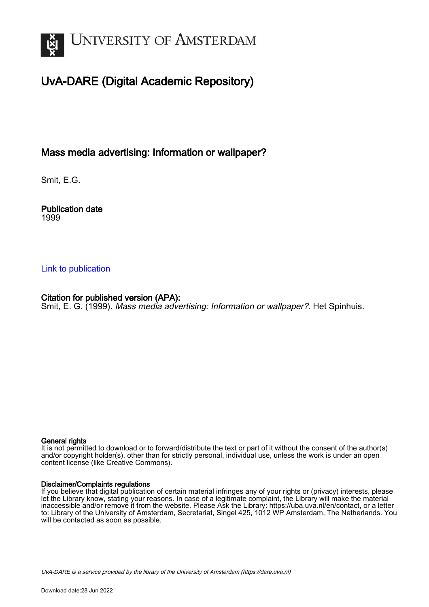

## UvA-DARE (Digital Academic Repository)

## Mass media advertising: Information or wallpaper?

Smit, E.G.

Publication date 1999

### [Link to publication](https://dare.uva.nl/personal/pure/en/publications/mass-media-advertising-information-or-wallpaper(95e0f7fd-4a3c-4417-af33-740c119be164).html)

## Citation for published version (APA):

Smit, E. G. (1999). Mass media advertising: Information or wallpaper?. Het Spinhuis.

#### General rights

It is not permitted to download or to forward/distribute the text or part of it without the consent of the author(s) and/or copyright holder(s), other than for strictly personal, individual use, unless the work is under an open content license (like Creative Commons).

#### Disclaimer/Complaints regulations

If you believe that digital publication of certain material infringes any of your rights or (privacy) interests, please let the Library know, stating your reasons. In case of a legitimate complaint, the Library will make the material inaccessible and/or remove it from the website. Please Ask the Library: https://uba.uva.nl/en/contact, or a letter to: Library of the University of Amsterdam, Secretariat, Singel 425, 1012 WP Amsterdam, The Netherlands. You will be contacted as soon as possible.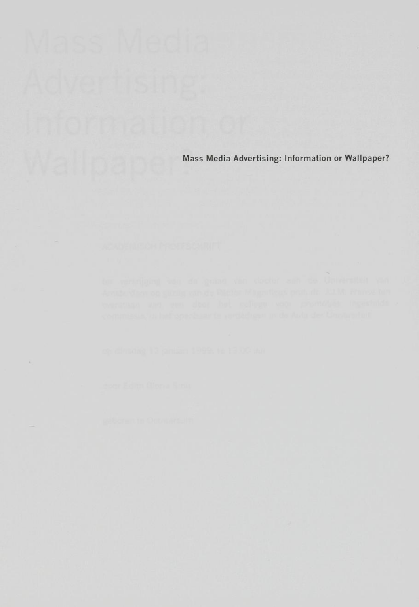Mass Media Advertising: Information or Wallpaper?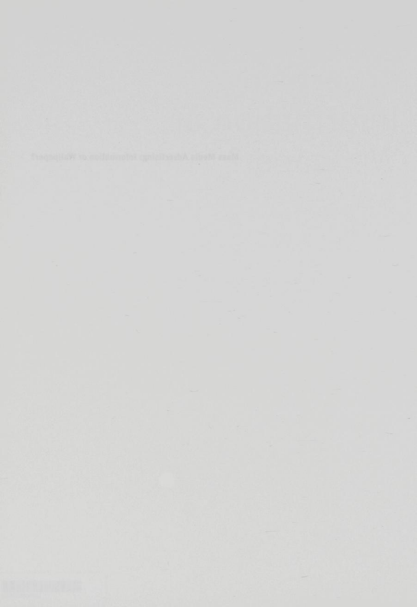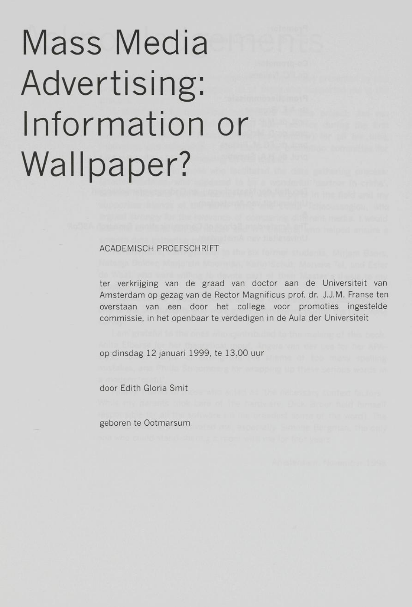# Mass Media Advertising: Information or Wallpaper?

ACADEMISCH PROEFSCHRIFT

ter verkrijging van de graad van doctor aan de Universiteit van Amsterdam op gezag van de Rector Magnificus prof. dr. J.J.M. Franse ten overstaan van een door het college voor promoties ingestelde commissie, in het openbaar te verdedigen in de Aula der Universiteit

op dinsdag 12 januari 1999, te 13.00 uur

door Edith Gloria Smit

geboren te Ootmarsum